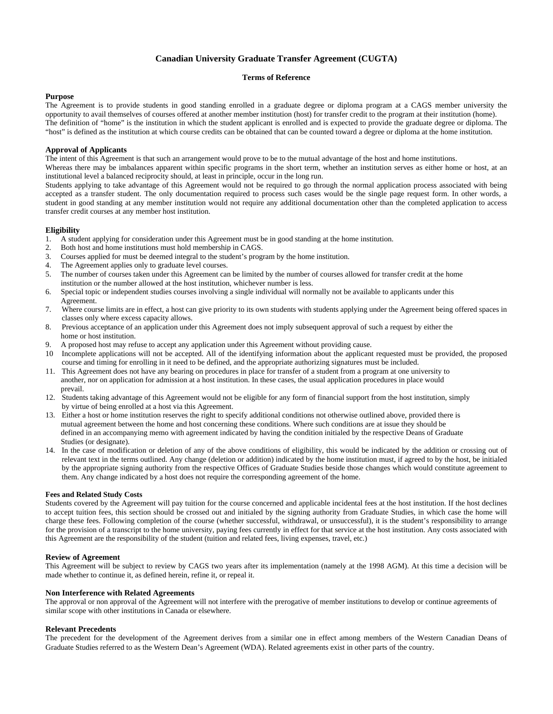## **Canadian University Graduate Transfer Agreement (CUGTA)**

#### **Terms of Reference**

#### **Purpose**

The Agreement is to provide students in good standing enrolled in a graduate degree or diploma program at a CAGS member university the opportunity to avail themselves of courses offered at another member institution (host) for transfer credit to the program at their institution (home). The definition of "home" is the institution in which the student applicant is enrolled and is expected to provide the graduate degree or diploma. The "host" is defined as the institution at which course credits can be obtained that can be counted toward a degree or diploma at the home institution.

#### **Approval of Applicants**

The intent of this Agreement is that such an arrangement would prove to be to the mutual advantage of the host and home institutions.

Whereas there may be imbalances apparent within specific programs in the short term, whether an institution serves as either home or host, at an institutional level a balanced reciprocity should, at least in principle, occur in the long run.

Students applying to take advantage of this Agreement would not be required to go through the normal application process associated with being accepted as a transfer student. The only documentation required to process such cases would be the single page request form. In other words, a student in good standing at any member institution would not require any additional documentation other than the completed application to access transfer credit courses at any member host institution.

### **Eligibility**

- 1. A student applying for consideration under this Agreement must be in good standing at the home institution.
- 2. Both host and home institutions must hold membership in CAGS.
- 3. Courses applied for must be deemed integral to the student's program by the home institution.
- 4. The Agreement applies only to graduate level courses.
- 5. The number of courses taken under this Agreement can be limited by the number of courses allowed for transfer credit at the home institution or the number allowed at the host institution, whichever number is less.
- 6. Special topic or independent studies courses involving a single individual will normally not be available to applicants under this Agreement.
- 7. Where course limits are in effect, a host can give priority to its own students with students applying under the Agreement being offered spaces in classes only where excess capacity allows.
- 8. Previous acceptance of an application under this Agreement does not imply subsequent approval of such a request by either the home or host institution.
- 9. A proposed host may refuse to accept any application under this Agreement without providing cause.
- 10 Incomplete applications will not be accepted. All of the identifying information about the applicant requested must be provided, the proposed course and timing for enrolling in it need to be defined, and the appropriate authorizing signatures must be included.
- 11. This Agreement does not have any bearing on procedures in place for transfer of a student from a program at one university to another, nor on application for admission at a host institution. In these cases, the usual application procedures in place would prevail.
- 12. Students taking advantage of this Agreement would not be eligible for any form of financial support from the host institution, simply by virtue of being enrolled at a host via this Agreement.
- 13. Either a host or home institution reserves the right to specify additional conditions not otherwise outlined above, provided there is mutual agreement between the home and host concerning these conditions. Where such conditions are at issue they should be defined in an accompanying memo with agreement indicated by having the condition initialed by the respective Deans of Graduate Studies (or designate).
- 14. In the case of modification or deletion of any of the above conditions of eligibility, this would be indicated by the addition or crossing out of relevant text in the terms outlined. Any change (deletion or addition) indicated by the home institution must, if agreed to by the host, be initialed by the appropriate signing authority from the respective Offices of Graduate Studies beside those changes which would constitute agreement to them. Any change indicated by a host does not require the corresponding agreement of the home.

#### **Fees and Related Study Costs**

Students covered by the Agreement will pay tuition for the course concerned and applicable incidental fees at the host institution. If the host declines to accept tuition fees, this section should be crossed out and initialed by the signing authority from Graduate Studies, in which case the home will charge these fees. Following completion of the course (whether successful, withdrawal, or unsuccessful), it is the student's responsibility to arrange for the provision of a transcript to the home university, paying fees currently in effect for that service at the host institution. Any costs associated with this Agreement are the responsibility of the student (tuition and related fees, living expenses, travel, etc.)

#### **Review of Agreement**

This Agreement will be subject to review by CAGS two years after its implementation (namely at the 1998 AGM). At this time a decision will be made whether to continue it, as defined herein, refine it, or repeal it.

#### **Non Interference with Related Agreements**

The approval or non approval of the Agreement will not interfere with the prerogative of member institutions to develop or continue agreements of similar scope with other institutions in Canada or elsewhere.

#### **Relevant Precedents**

The precedent for the development of the Agreement derives from a similar one in effect among members of the Western Canadian Deans of Graduate Studies referred to as the Western Dean's Agreement (WDA). Related agreements exist in other parts of the country.